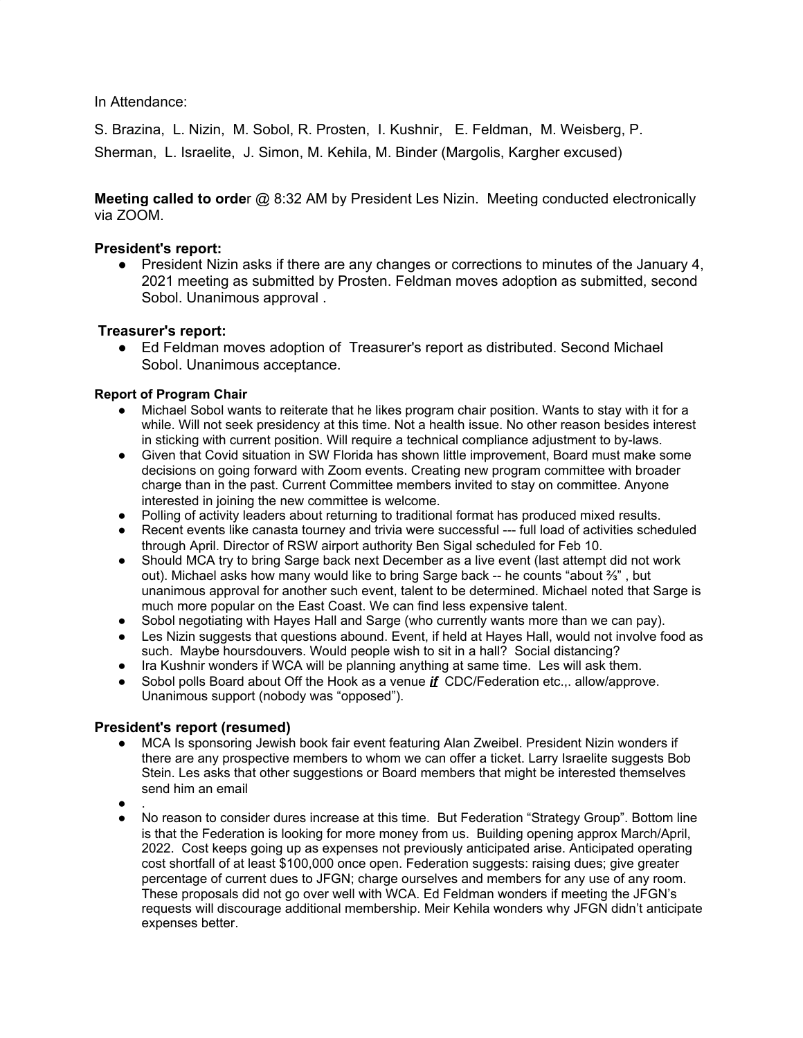In Attendance:

S. Brazina, L. Nizin, M. Sobol, R. Prosten, I. Kushnir, E. Feldman, M. Weisberg, P. Sherman, L. Israelite, J. Simon, M. Kehila, M. Binder (Margolis, Kargher excused)

**Meeting called to orde**r @ 8:32 AM by President Les Nizin. Meeting conducted electronically via ZOOM.

## **President's report:**

• President Nizin asks if there are any changes or corrections to minutes of the January 4, 2021 meeting as submitted by Prosten. Feldman moves adoption as submitted, second Sobol. Unanimous approval .

## **Treasurer's report:**

● Ed Feldman moves adoption of Treasurer's report as distributed. Second Michael Sobol. Unanimous acceptance.

## **Report of Program Chair**

- Michael Sobol wants to reiterate that he likes program chair position. Wants to stay with it for a while. Will not seek presidency at this time. Not a health issue. No other reason besides interest in sticking with current position. Will require a technical compliance adjustment to by-laws.
- Given that Covid situation in SW Florida has shown little improvement, Board must make some decisions on going forward with Zoom events. Creating new program committee with broader charge than in the past. Current Committee members invited to stay on committee. Anyone interested in joining the new committee is welcome.
- Polling of activity leaders about returning to traditional format has produced mixed results.
- Recent events like canasta tourney and trivia were successful --- full load of activities scheduled through April. Director of RSW airport authority Ben Sigal scheduled for Feb 10.
- Should MCA try to bring Sarge back next December as a live event (last attempt did not work out). Michael asks how many would like to bring Sarge back -- he counts "about ⅔" , but unanimous approval for another such event, talent to be determined. Michael noted that Sarge is much more popular on the East Coast. We can find less expensive talent.
- Sobol negotiating with Hayes Hall and Sarge (who currently wants more than we can pay).
- Les Nizin suggests that questions abound. Event, if held at Hayes Hall, would not involve food as such. Maybe hoursdouvers. Would people wish to sit in a hall? Social distancing?
- Ira Kushnir wonders if WCA will be planning anything at same time. Les will ask them.
- Sobol polls Board about Off the Hook as a venue *if* CDC/Federation etc... allow/approve. Unanimous support (nobody was "opposed").

## **President's report (resumed)**

- MCA Is sponsoring Jewish book fair event featuring Alan Zweibel. President Nizin wonders if there are any prospective members to whom we can offer a ticket. Larry Israelite suggests Bob Stein. Les asks that other suggestions or Board members that might be interested themselves send him an email
- $\bullet$  .
- No reason to consider dures increase at this time. But Federation "Strategy Group". Bottom line is that the Federation is looking for more money from us. Building opening approx March/April, 2022. Cost keeps going up as expenses not previously anticipated arise. Anticipated operating cost shortfall of at least \$100,000 once open. Federation suggests: raising dues; give greater percentage of current dues to JFGN; charge ourselves and members for any use of any room. These proposals did not go over well with WCA. Ed Feldman wonders if meeting the JFGN's requests will discourage additional membership. Meir Kehila wonders why JFGN didn't anticipate expenses better.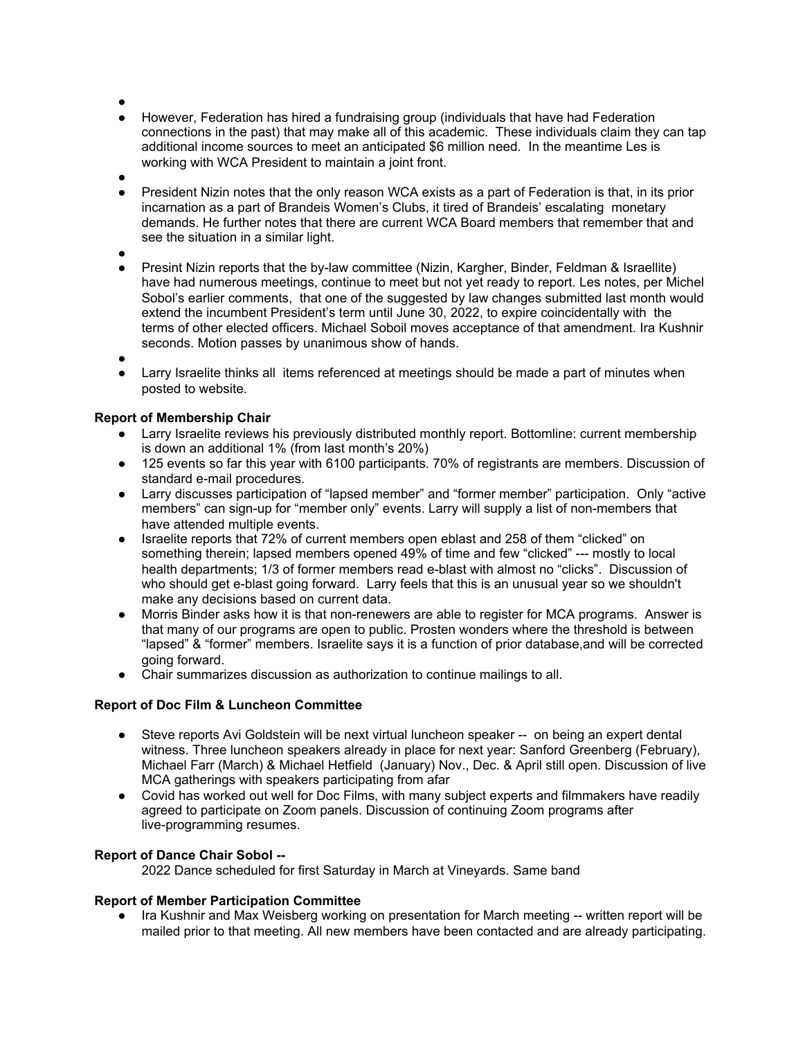- ●
- However, Federation has hired a fundraising group (individuals that have had Federation connections in the past) that may make all of this academic. These individuals claim they can tap additional income sources to meet an anticipated \$6 million need. In the meantime Les is working with WCA President to maintain a joint front.
- ●
- President Nizin notes that the only reason WCA exists as a part of Federation is that, in its prior incarnation as a part of Brandeis Women's Clubs, it tired of Brandeis' escalating monetary demands. He further notes that there are current WCA Board members that remember that and see the situation in a similar light.
- ●
- Presint Nizin reports that the by-law committee (Nizin, Kargher, Binder, Feldman & Israellite) have had numerous meetings, continue to meet but not yet ready to report. Les notes, per Michel Sobol's earlier comments, that one of the suggested by law changes submitted last month would extend the incumbent President's term until June 30, 2022, to expire coincidentally with the terms of other elected officers. Michael Soboil moves acceptance of that amendment. Ira Kushnir seconds. Motion passes by unanimous show of hands.
- ●
- Larry Israelite thinks all items referenced at meetings should be made a part of minutes when posted to website.

# **Report of Membership Chair**

- Larry Israelite reviews his previously distributed monthly report. Bottomline: current membership is down an additional 1% (from last month's 20%)
- 125 events so far this year with 6100 participants. 70% of registrants are members. Discussion of standard e-mail procedures.
- Larry discusses participation of "lapsed member" and "former member" participation. Only "active members" can sign-up for "member only" events. Larry will supply a list of non-members that have attended multiple events.
- Israelite reports that 72% of current members open eblast and 258 of them "clicked" on something therein; lapsed members opened 49% of time and few "clicked" --- mostly to local health departments; 1/3 of former members read e-blast with almost no "clicks". Discussion of who should get e-blast going forward. Larry feels that this is an unusual year so we shouldn't make any decisions based on current data.
- Morris Binder asks how it is that non-renewers are able to register for MCA programs. Answer is that many of our programs are open to public. Prosten wonders where the threshold is between "lapsed" & "former" members. Israelite says it is a function of prior database,and will be corrected going forward.
- Chair summarizes discussion as authorization to continue mailings to all.

# **Report of Doc Film & Luncheon Committee**

- Steve reports Avi Goldstein will be next virtual luncheon speaker -- on being an expert dental witness. Three luncheon speakers already in place for next year: Sanford Greenberg (February), Michael Farr (March) & Michael Hetfield (January) Nov., Dec. & April still open. Discussion of live MCA gatherings with speakers participating from afar
- Covid has worked out well for Doc Films, with many subject experts and filmmakers have readily agreed to participate on Zoom panels. Discussion of continuing Zoom programs after live-programming resumes.

# **Report of Dance Chair Sobol --**

2022 Dance scheduled for first Saturday in March at Vineyards. Same band

## **Report of Member Participation Committee**

● Ira Kushnir and Max Weisberg working on presentation for March meeting -- written report will be mailed prior to that meeting. All new members have been contacted and are already participating.